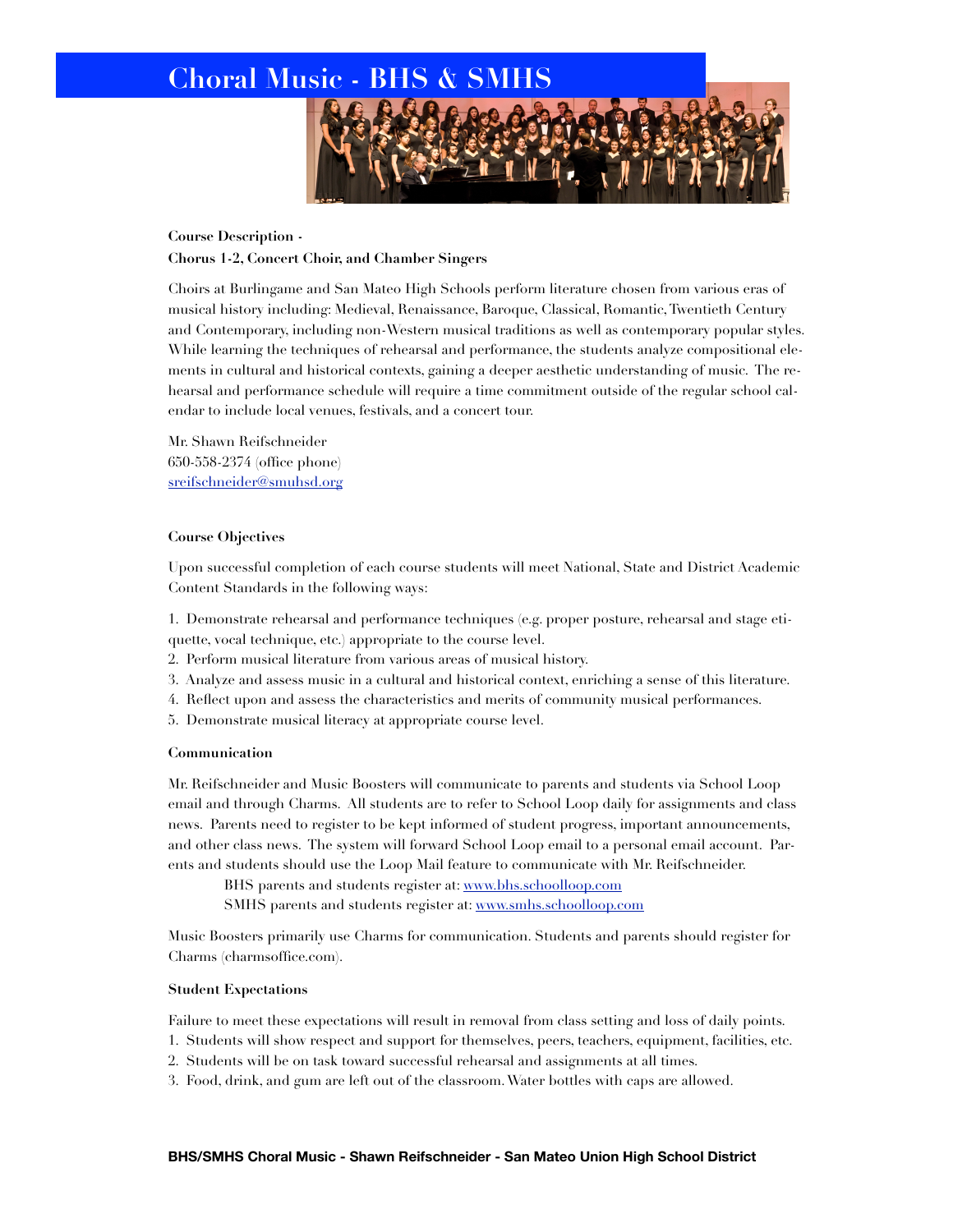

# **Course Description - Chorus 1-2, Concert Choir, and Chamber Singers**

Choirs at Burlingame and San Mateo High Schools perform literature chosen from various eras of musical history including: Medieval, Renaissance, Baroque, Classical, Romantic, Twentieth Century and Contemporary, including non-Western musical traditions as well as contemporary popular styles. While learning the techniques of rehearsal and performance, the students analyze compositional elements in cultural and historical contexts, gaining a deeper aesthetic understanding of music. The rehearsal and performance schedule will require a time commitment outside of the regular school calendar to include local venues, festivals, and a concert tour.

Mr. Shawn Reifschneider 650-558-2374 (office phone) [sreifschneider@smuhsd.org](mailto:sreifschneider@smuhsd.k12.ca.us)

# **Course Objectives**

Upon successful completion of each course students will meet National, State and District Academic Content Standards in the following ways:

1. Demonstrate rehearsal and performance techniques (e.g. proper posture, rehearsal and stage etiquette, vocal technique, etc.) appropriate to the course level.

- 2. Perform musical literature from various areas of musical history.
- 3. Analyze and assess music in a cultural and historical context, enriching a sense of this literature.
- 4. Reflect upon and assess the characteristics and merits of community musical performances.
- 5. Demonstrate musical literacy at appropriate course level.

# **Communication**

Mr. Reifschneider and Music Boosters will communicate to parents and students via School Loop email and through Charms. All students are to refer to School Loop daily for assignments and class news. Parents need to register to be kept informed of student progress, important announcements, and other class news. The system will forward School Loop email to a personal email account. Parents and students should use the Loop Mail feature to communicate with Mr. Reifschneider.

BHS parents and students register at: [www.bhs.schoolloop.com](http://www.bhs.schoolloop.com)

SMHS parents and students register at: [www.smhs.schoolloop.com](http://www.smhs.schoolloop.com)

Music Boosters primarily use Charms for communication. Students and parents should register for Charms (charmsoffice.com).

# **Student Expectations**

Failure to meet these expectations will result in removal from class setting and loss of daily points.

1. Students will show respect and support for themselves, peers, teachers, equipment, facilities, etc.

- 2. Students will be on task toward successful rehearsal and assignments at all times.
- 3. Food, drink, and gum are left out of the classroom. Water bottles with caps are allowed.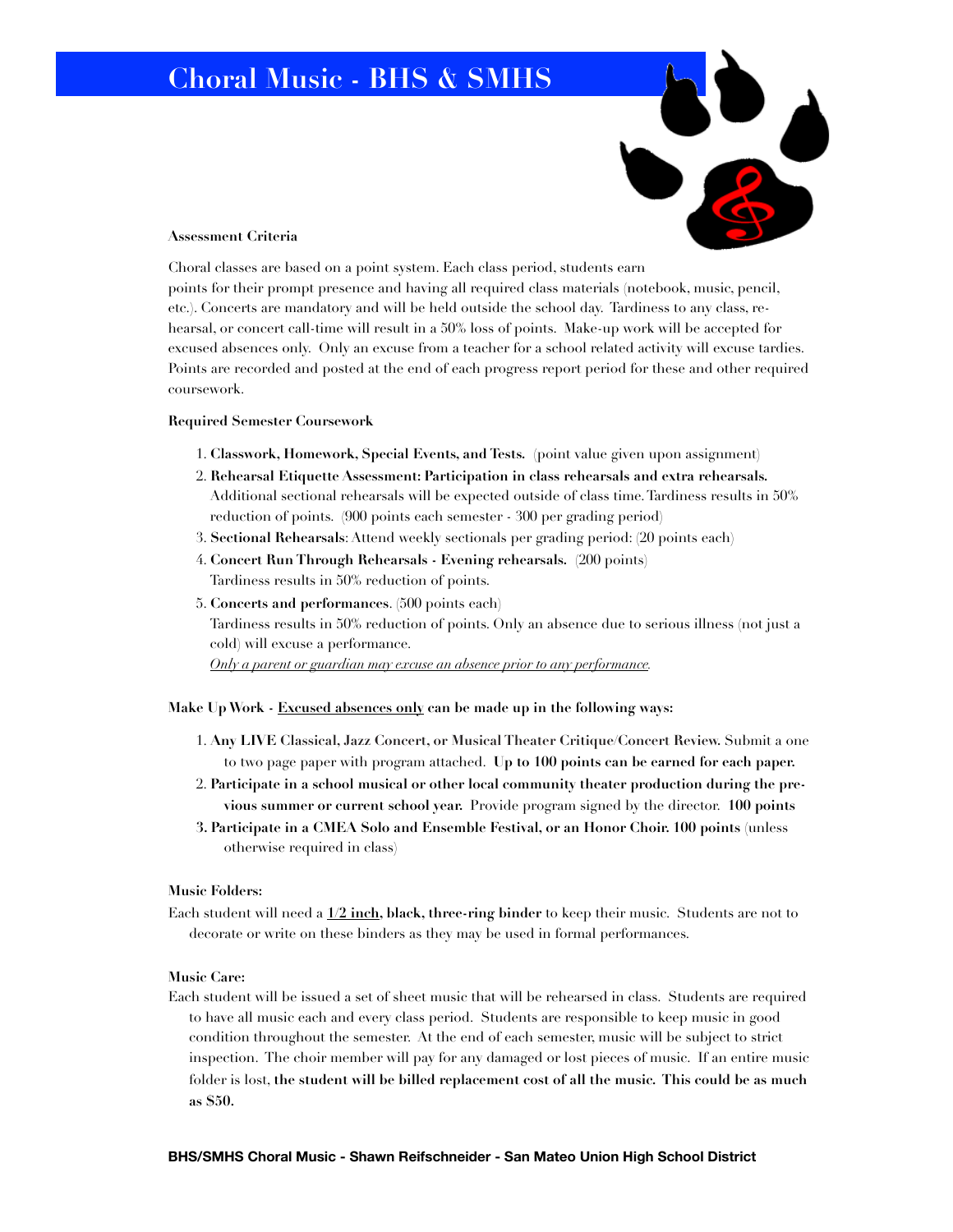

#### **Assessment Criteria**

Choral classes are based on a point system. Each class period, students earn points for their prompt presence and having all required class materials (notebook, music, pencil, etc.). Concerts are mandatory and will be held outside the school day. Tardiness to any class, rehearsal, or concert call-time will result in a 50% loss of points. Make-up work will be accepted for excused absences only. Only an excuse from a teacher for a school related activity will excuse tardies. Points are recorded and posted at the end of each progress report period for these and other required coursework.

# **Required Semester Coursework**

- 1. **Classwork, Homework, Special Events, and Tests.** (point value given upon assignment)
- 2. **Rehearsal Etiquette Assessment: Participation in class rehearsals and extra rehearsals.**  Additional sectional rehearsals will be expected outside of class time. Tardiness results in 50% reduction of points. (900 points each semester - 300 per grading period)
- 3. **Sectional Rehearsals**: Attend weekly sectionals per grading period: (20 points each)
- 4. **Concert Run Through Rehearsals Evening rehearsals.** (200 points) Tardiness results in 50% reduction of points.
- 5. **Concerts and performances**. (500 points each)

Tardiness results in 50% reduction of points. Only an absence due to serious illness (not just a cold) will excuse a performance.

*Only a parent or guardian may excuse an absence prior to any performance.* 

### **Make Up Work - Excused absences only can be made up in the following ways:**

- 1. **Any LIVE Classical, Jazz Concert, or Musical Theater Critique/Concert Review.** Submit a one to two page paper with program attached. **Up to 100 points can be earned for each paper.**
- 2. **Participate in a school musical or other local community theater production during the previous summer or current school year.** Provide program signed by the director. **100 points**
- **3. Participate in a CMEA Solo and Ensemble Festival, or an Honor Choir. 100 points** (unless otherwise required in class)

### **Music Folders:**

Each student will need a **1/2 inch, black, three-ring binder** to keep their music. Students are not to decorate or write on these binders as they may be used in formal performances.

#### **Music Care:**

Each student will be issued a set of sheet music that will be rehearsed in class. Students are required to have all music each and every class period. Students are responsible to keep music in good condition throughout the semester. At the end of each semester, music will be subject to strict inspection. The choir member will pay for any damaged or lost pieces of music. If an entire music folder is lost, **the student will be billed replacement cost of all the music. This could be as much as \$50.**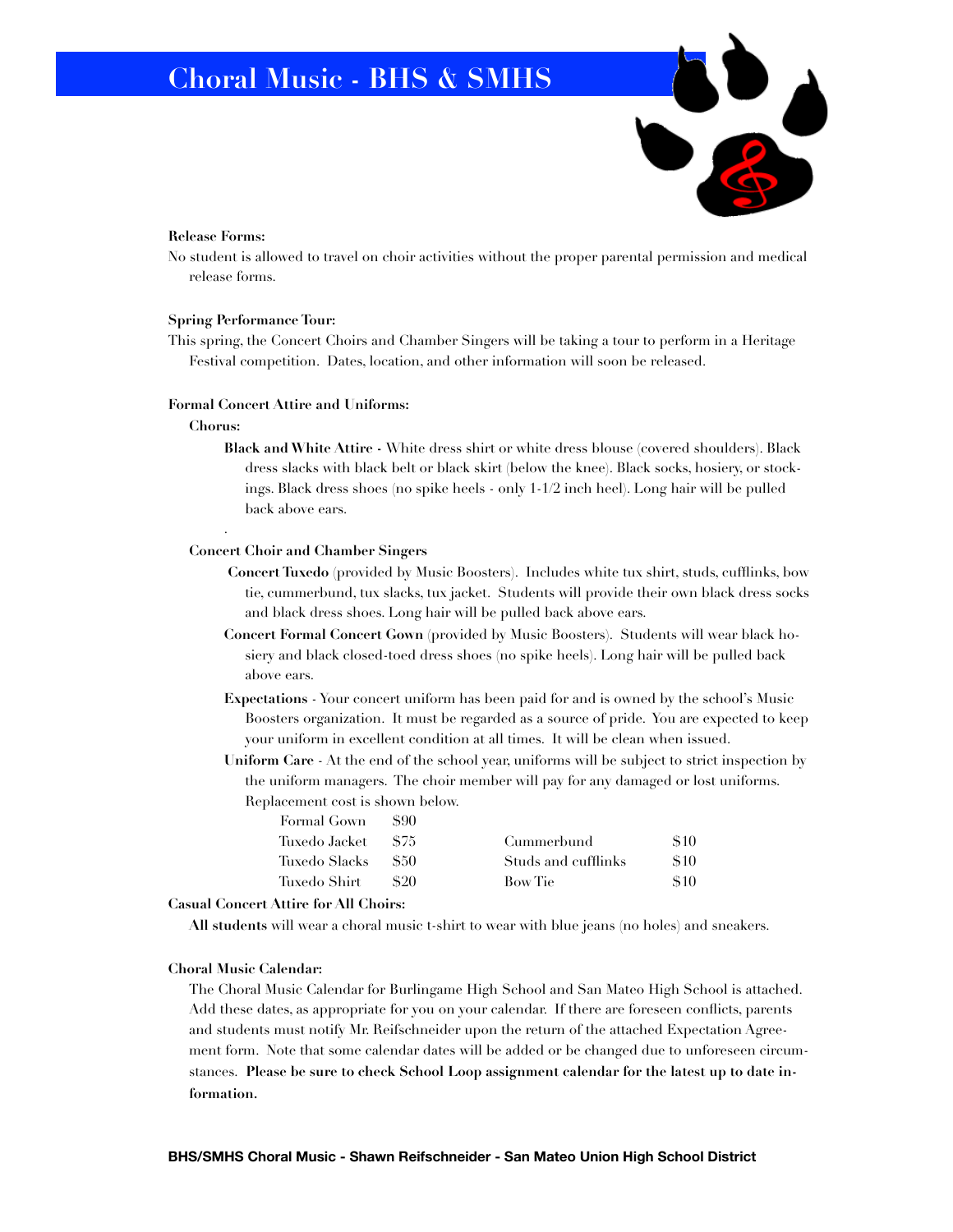

#### **Release Forms:**

No student is allowed to travel on choir activities without the proper parental permission and medical release forms.

#### **Spring Performance Tour:**

This spring, the Concert Choirs and Chamber Singers will be taking a tour to perform in a Heritage Festival competition. Dates, location, and other information will soon be released.

#### **Formal Concert Attire and Uniforms:**

### **Chorus:**

.

**Black and White Attire -** White dress shirt or white dress blouse (covered shoulders). Black dress slacks with black belt or black skirt (below the knee). Black socks, hosiery, or stockings. Black dress shoes (no spike heels - only 1-1/2 inch heel). Long hair will be pulled back above ears.

#### **Concert Choir and Chamber Singers**

- **Concert Tuxedo** (provided by Music Boosters). Includes white tux shirt, studs, cufflinks, bow tie, cummerbund, tux slacks, tux jacket. Students will provide their own black dress socks and black dress shoes. Long hair will be pulled back above ears.
- **Concert Formal Concert Gown** (provided by Music Boosters). Students will wear black hosiery and black closed-toed dress shoes (no spike heels). Long hair will be pulled back above ears.
- **Expectations** Your concert uniform has been paid for and is owned by the school's Music Boosters organization. It must be regarded as a source of pride. You are expected to keep your uniform in excellent condition at all times. It will be clean when issued.
- **Uniform Care** At the end of the school year, uniforms will be subject to strict inspection by the uniform managers. The choir member will pay for any damaged or lost uniforms. Replacement cost is shown below.

| Formal Gown     | 890  |                     |            |
|-----------------|------|---------------------|------------|
| Tuxedo Jacket - | -875 | Cummerbund          | <b>S10</b> |
| Tuxedo Slacks   | -850 | Studs and cufflinks | S10        |
| Tuxedo Shirt    | 820  | Bow Tie             | S10        |
|                 |      |                     |            |

#### **Casual Concert Attire for All Choirs:**

**All students** will wear a choral music t-shirt to wear with blue jeans (no holes) and sneakers.

#### **Choral Music Calendar:**

The Choral Music Calendar for Burlingame High School and San Mateo High School is attached. Add these dates, as appropriate for you on your calendar. If there are foreseen conflicts, parents and students must notify Mr. Reifschneider upon the return of the attached Expectation Agreement form. Note that some calendar dates will be added or be changed due to unforeseen circumstances. **Please be sure to check School Loop assignment calendar for the latest up to date information.**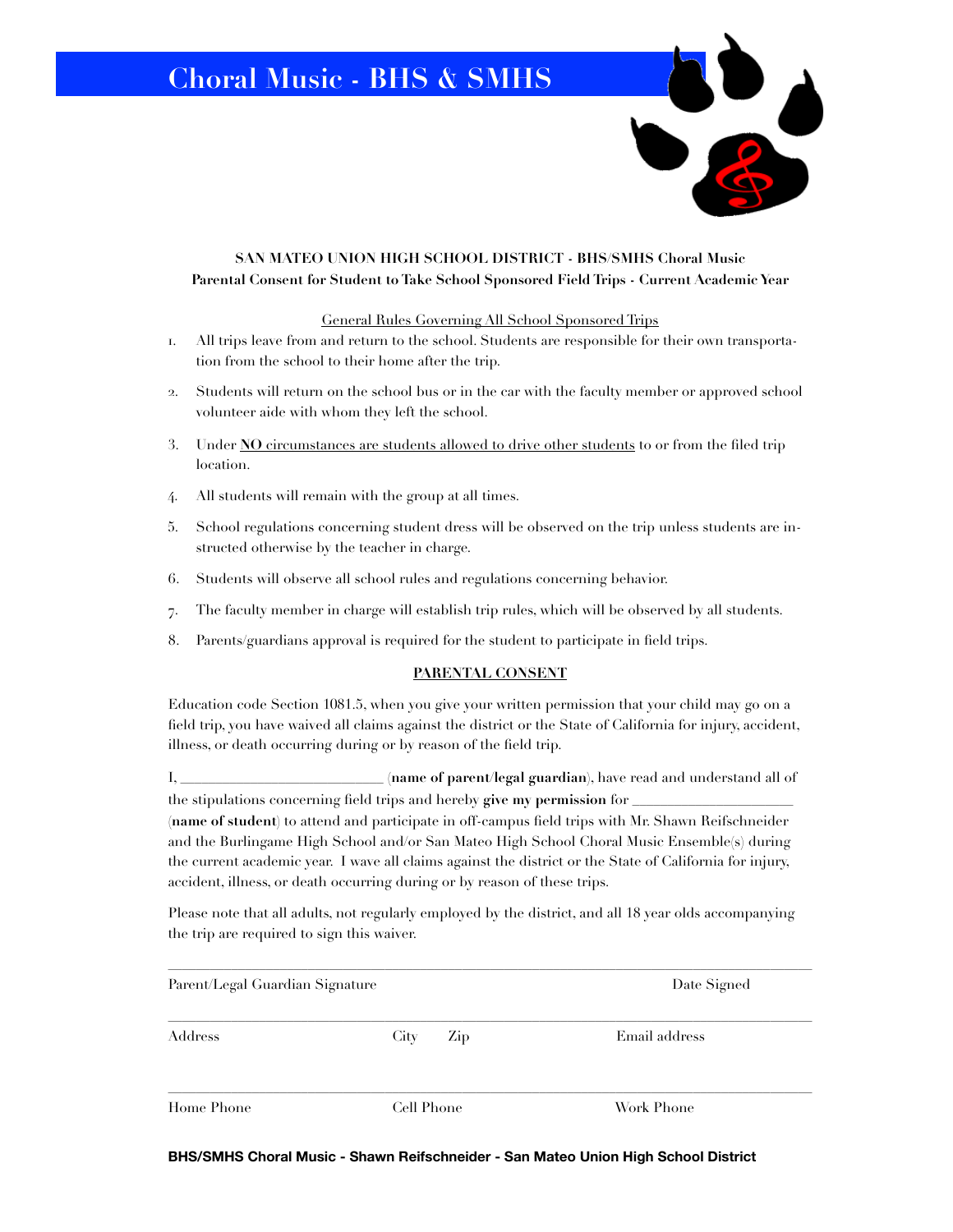

General Rules Governing All School Sponsored Trips

- 1. All trips leave from and return to the school. Students are responsible for their own transportation from the school to their home after the trip.
- 2. Students will return on the school bus or in the car with the faculty member or approved school volunteer aide with whom they left the school.
- 3. Under **NO** circumstances are students allowed to drive other students to or from the filed trip location.
- 4. All students will remain with the group at all times.
- 5. School regulations concerning student dress will be observed on the trip unless students are instructed otherwise by the teacher in charge.
- 6. Students will observe all school rules and regulations concerning behavior.
- 7. The faculty member in charge will establish trip rules, which will be observed by all students.
- 8. Parents/guardians approval is required for the student to participate in field trips.

#### **PARENTAL CONSENT**

Education code Section 1081.5, when you give your written permission that your child may go on a field trip, you have waived all claims against the district or the State of California for injury, accident, illness, or death occurring during or by reason of the field trip.

I, \_\_\_\_\_\_\_\_\_\_\_\_\_\_\_\_\_\_\_\_\_\_\_\_\_\_\_\_\_ **(name of parent/legal guardian)**, have read and understand all of the stipulations concerning field trips and hereby give my permission for

**(name of student)** to attend and participate in off-campus field trips with Mr. Shawn Reifschneider and the Burlingame High School and/or San Mateo High School Choral Music Ensemble(s) during the current academic year. I wave all claims against the district or the State of California for injury, accident, illness, or death occurring during or by reason of these trips.

Please note that all adults, not regularly employed by the district, and all 18 year olds accompanying the trip are required to sign this waiver.

| Parent/Legal Guardian Signature | Date Signed |               |  |
|---------------------------------|-------------|---------------|--|
| Address                         | City<br>Zip | Email address |  |
| Home Phone                      | Cell Phone  | Work Phone    |  |

**BHS/SMHS Choral Music - Shawn Reifschneider - San Mateo Union High School District**